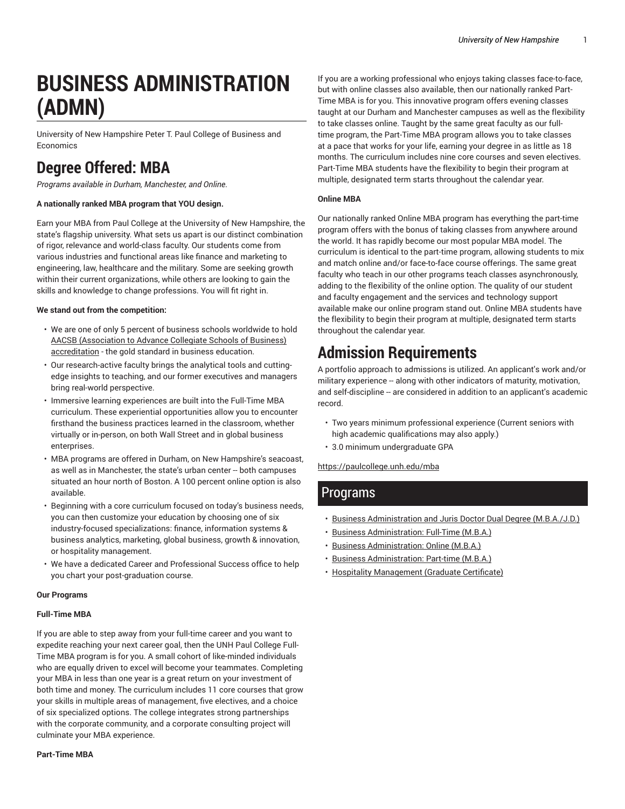# **BUSINESS ADMINISTRATION (ADMN)**

University of New Hampshire Peter T. Paul College of Business and Economics

# **Degree Offered: MBA**

*Programs available in Durham, Manchester, and Online.*

### **A nationally ranked MBA program that YOU design.**

Earn your MBA from Paul College at the University of New Hampshire, the state's flagship university. What sets us apart is our distinct combination of rigor, relevance and world-class faculty. Our students come from various industries and functional areas like finance and marketing to engineering, law, healthcare and the military. Some are seeking growth within their current organizations, while others are looking to gain the skills and knowledge to change professions. You will fit right in.

### **We stand out from the competition:**

- We are one of only 5 percent of business schools worldwide to hold AACSB [\(Association](https://bestbizschools.aacsb.edu/aacsb-accredited/students/) to Advance Collegiate Schools of Business) [accreditation](https://bestbizschools.aacsb.edu/aacsb-accredited/students/) - the gold standard in business education.
- Our research-active faculty brings the analytical tools and cuttingedge insights to teaching, and our former executives and managers bring real-world perspective.
- Immersive learning experiences are built into the Full-Time MBA curriculum. These experiential opportunities allow you to encounter firsthand the business practices learned in the classroom, whether virtually or in-person, on both Wall Street and in global business enterprises.
- MBA programs are offered in Durham, on New Hampshire's seacoast, as well as in Manchester, the state's urban center -- both campuses situated an hour north of Boston. A 100 percent online option is also available.
- Beginning with a core curriculum focused on today's business needs, you can then customize your education by choosing one of six industry-focused specializations: finance, information systems & business analytics, marketing, global business, growth & innovation, or hospitality management.
- We have a dedicated Career and Professional Success office to help you chart your post-graduation course.

### **Our Programs**

### **Full-Time MBA**

If you are able to step away from your full-time career and you want to expedite reaching your next career goal, then the UNH Paul College Full-Time MBA program is for you. A small cohort of like-minded individuals who are equally driven to excel will become your teammates. Completing your MBA in less than one year is a great return on your investment of both time and money. The curriculum includes 11 core courses that grow your skills in multiple areas of management, five electives, and a choice of six specialized options. The college integrates strong partnerships with the corporate community, and a corporate consulting project will culminate your MBA experience.

**Part-Time MBA**

If you are a working professional who enjoys taking classes face-to-face, but with online classes also available, then our nationally ranked Part-Time MBA is for you. This innovative program offers evening classes taught at our Durham and Manchester campuses as well as the flexibility to take classes online. Taught by the same great faculty as our fulltime program, the Part-Time MBA program allows you to take classes at a pace that works for your life, earning your degree in as little as 18 months. The curriculum includes nine core courses and seven electives. Part-Time MBA students have the flexibility to begin their program at multiple, designated term starts throughout the calendar year.

### **Online MBA**

Our nationally ranked Online MBA program has everything the part-time program offers with the bonus of taking classes from anywhere around the world. It has rapidly become our most popular MBA model. The curriculum is identical to the part-time program, allowing students to mix and match online and/or face-to-face course offerings. The same great faculty who teach in our other programs teach classes asynchronously, adding to the flexibility of the online option. The quality of our student and faculty engagement and the services and technology support available make our online program stand out. Online MBA students have the flexibility to begin their program at multiple, designated term starts throughout the calendar year.

# **Admission Requirements**

A portfolio approach to admissions is utilized. An applicant's work and/or military experience -- along with other indicators of maturity, motivation, and self-discipline -- are considered in addition to an applicant's academic record.

- Two years minimum professional experience (Current seniors with high academic qualifications may also apply.)
- 3.0 minimum undergraduate GPA

[https://paulcollege.unh.edu/mba](https://paulcollege.unh.edu/mba/)

### Programs

- Business [Administration](http://catalog.unh.edu/graduate/programs-study/business-administration/business-administration-dual-degree-mba-jd/) and Juris Doctor Dual Degree (M.B.A./J.D.)
- Business [Administration:](http://catalog.unh.edu/graduate/programs-study/business-administration/business-administration-fulltime-mba/) Full-Time (M.B.A.)
- [Business Administration: Online \(M.B.A.\)](http://catalog.unh.edu/graduate/programs-study/business-administration/business-administration-online-mba/)
- Business [Administration:](http://catalog.unh.edu/graduate/programs-study/business-administration/business-administration-part-time-mba/) Part-time (M.B.A.)
- Hospitality [Management](http://catalog.unh.edu/graduate/programs-study/business-administration/hospitality-management-certificate/) (Graduate Certificate)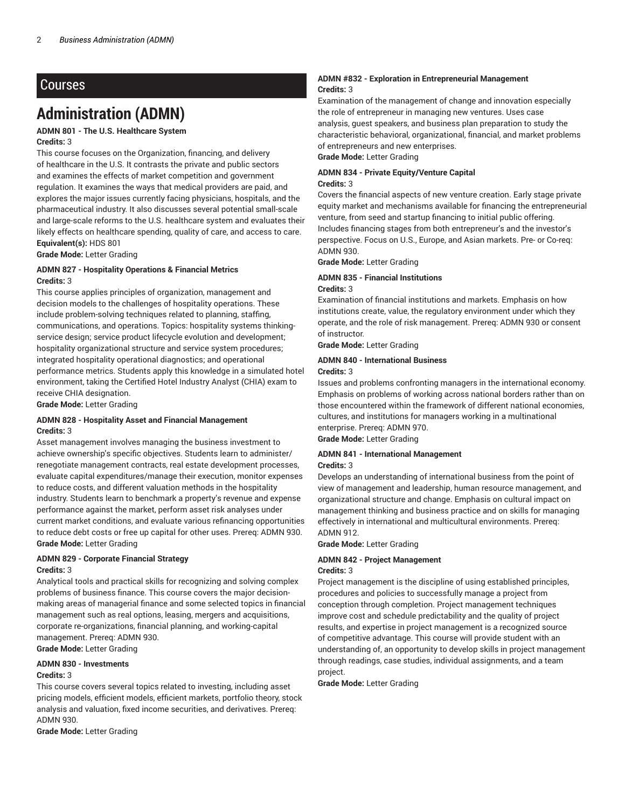## Courses

# **Administration (ADMN)**

### **ADMN 801 - The U.S. Healthcare System Credits:** 3

This course focuses on the Organization, financing, and delivery of healthcare in the U.S. It contrasts the private and public sectors and examines the effects of market competition and government regulation. It examines the ways that medical providers are paid, and explores the major issues currently facing physicians, hospitals, and the pharmaceutical industry. It also discusses several potential small-scale and large-scale reforms to the U.S. healthcare system and evaluates their likely effects on healthcare spending, quality of care, and access to care. **Equivalent(s):** HDS 801

**Grade Mode:** Letter Grading

### **ADMN 827 - Hospitality Operations & Financial Metrics Credits:** 3

This course applies principles of organization, management and decision models to the challenges of hospitality operations. These include problem-solving techniques related to planning, staffing, communications, and operations. Topics: hospitality systems thinkingservice design; service product lifecycle evolution and development; hospitality organizational structure and service system procedures; integrated hospitality operational diagnostics; and operational performance metrics. Students apply this knowledge in a simulated hotel environment, taking the Certified Hotel Industry Analyst (CHIA) exam to receive CHIA designation.

**Grade Mode:** Letter Grading

### **ADMN 828 - Hospitality Asset and Financial Management Credits:** 3

Asset management involves managing the business investment to achieve ownership's specific objectives. Students learn to administer/ renegotiate management contracts, real estate development processes, evaluate capital expenditures/manage their execution, monitor expenses to reduce costs, and different valuation methods in the hospitality industry. Students learn to benchmark a property's revenue and expense performance against the market, perform asset risk analyses under current market conditions, and evaluate various refinancing opportunities to reduce debt costs or free up capital for other uses. Prereq: ADMN 930. **Grade Mode:** Letter Grading

### **ADMN 829 - Corporate Financial Strategy Credits:** 3

Analytical tools and practical skills for recognizing and solving complex problems of business finance. This course covers the major decisionmaking areas of managerial finance and some selected topics in financial management such as real options, leasing, mergers and acquisitions, corporate re-organizations, financial planning, and working-capital management. Prereq: ADMN 930.

**Grade Mode:** Letter Grading

### **ADMN 830 - Investments Credits:** 3

This course covers several topics related to investing, including asset pricing models, efficient models, efficient markets, portfolio theory, stock analysis and valuation, fixed income securities, and derivatives. Prereq: ADMN 930.

**Grade Mode:** Letter Grading

### **ADMN #832 - Exploration in Entrepreneurial Management Credits:** 3

Examination of the management of change and innovation especially the role of entrepreneur in managing new ventures. Uses case analysis, guest speakers, and business plan preparation to study the characteristic behavioral, organizational, financial, and market problems of entrepreneurs and new enterprises.

**Grade Mode:** Letter Grading

### **ADMN 834 - Private Equity/Venture Capital**

### **Credits:** 3

Covers the financial aspects of new venture creation. Early stage private equity market and mechanisms available for financing the entrepreneurial venture, from seed and startup financing to initial public offering. Includes financing stages from both entrepreneur's and the investor's perspective. Focus on U.S., Europe, and Asian markets. Pre- or Co-req: ADMN 930.

**Grade Mode:** Letter Grading

### **ADMN 835 - Financial Institutions**

### **Credits:** 3

Examination of financial institutions and markets. Emphasis on how institutions create, value, the regulatory environment under which they operate, and the role of risk management. Prereq: ADMN 930 or consent of instructor.

**Grade Mode:** Letter Grading

### **ADMN 840 - International Business**

### **Credits:** 3

Issues and problems confronting managers in the international economy. Emphasis on problems of working across national borders rather than on those encountered within the framework of different national economies, cultures, and institutions for managers working in a multinational enterprise. Prereq: ADMN 970.

**Grade Mode:** Letter Grading

### **ADMN 841 - International Management Credits:** 3

Develops an understanding of international business from the point of view of management and leadership, human resource management, and organizational structure and change. Emphasis on cultural impact on management thinking and business practice and on skills for managing effectively in international and multicultural environments. Prereq: ADMN 912.

**Grade Mode:** Letter Grading

### **ADMN 842 - Project Management**

### **Credits:** 3

Project management is the discipline of using established principles, procedures and policies to successfully manage a project from conception through completion. Project management techniques improve cost and schedule predictability and the quality of project results, and expertise in project management is a recognized source of competitive advantage. This course will provide student with an understanding of, an opportunity to develop skills in project management through readings, case studies, individual assignments, and a team project.

**Grade Mode:** Letter Grading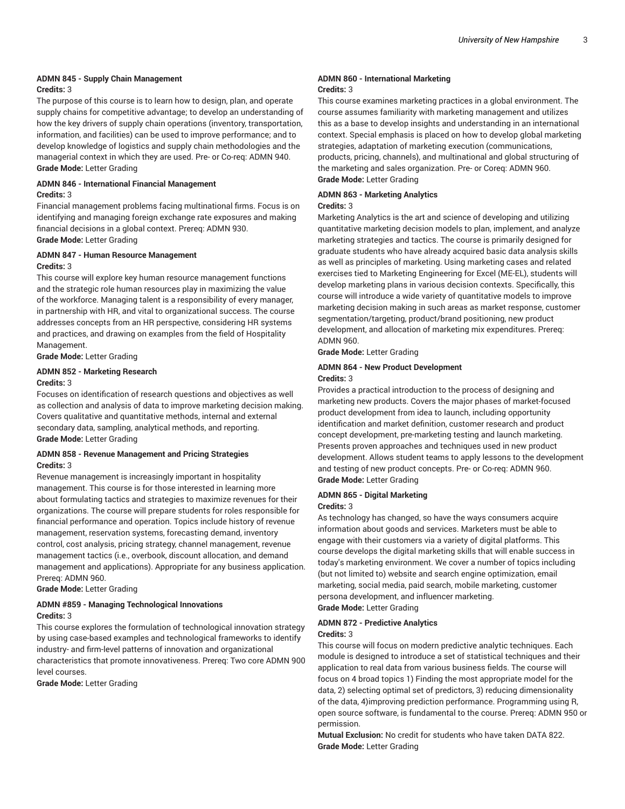### **ADMN 845 - Supply Chain Management Credits:** 3

The purpose of this course is to learn how to design, plan, and operate supply chains for competitive advantage; to develop an understanding of how the key drivers of supply chain operations (inventory, transportation, information, and facilities) can be used to improve performance; and to develop knowledge of logistics and supply chain methodologies and the managerial context in which they are used. Pre- or Co-req: ADMN 940. **Grade Mode:** Letter Grading

### **ADMN 846 - International Financial Management Credits:** 3

Financial management problems facing multinational firms. Focus is on identifying and managing foreign exchange rate exposures and making financial decisions in a global context. Prereq: ADMN 930. **Grade Mode:** Letter Grading

### **ADMN 847 - Human Resource Management**

### **Credits:** 3

This course will explore key human resource management functions and the strategic role human resources play in maximizing the value of the workforce. Managing talent is a responsibility of every manager, in partnership with HR, and vital to organizational success. The course addresses concepts from an HR perspective, considering HR systems and practices, and drawing on examples from the field of Hospitality Management.

**Grade Mode:** Letter Grading

### **ADMN 852 - Marketing Research**

### **Credits:** 3

Focuses on identification of research questions and objectives as well as collection and analysis of data to improve marketing decision making. Covers qualitative and quantitative methods, internal and external secondary data, sampling, analytical methods, and reporting. **Grade Mode:** Letter Grading

### **ADMN 858 - Revenue Management and Pricing Strategies Credits:** 3

Revenue management is increasingly important in hospitality management. This course is for those interested in learning more about formulating tactics and strategies to maximize revenues for their organizations. The course will prepare students for roles responsible for financial performance and operation. Topics include history of revenue management, reservation systems, forecasting demand, inventory control, cost analysis, pricing strategy, channel management, revenue management tactics (i.e., overbook, discount allocation, and demand management and applications). Appropriate for any business application. Prereq: ADMN 960.

**Grade Mode:** Letter Grading

### **ADMN #859 - Managing Technological Innovations Credits:** 3

This course explores the formulation of technological innovation strategy by using case-based examples and technological frameworks to identify industry- and firm-level patterns of innovation and organizational characteristics that promote innovativeness. Prereq: Two core ADMN 900 level courses.

**Grade Mode:** Letter Grading

### **ADMN 860 - International Marketing Credits:** 3

This course examines marketing practices in a global environment. The course assumes familiarity with marketing management and utilizes this as a base to develop insights and understanding in an international context. Special emphasis is placed on how to develop global marketing strategies, adaptation of marketing execution (communications, products, pricing, channels), and multinational and global structuring of the marketing and sales organization. Pre- or Coreq: ADMN 960. **Grade Mode:** Letter Grading

### **ADMN 863 - Marketing Analytics**

### **Credits:** 3

Marketing Analytics is the art and science of developing and utilizing quantitative marketing decision models to plan, implement, and analyze marketing strategies and tactics. The course is primarily designed for graduate students who have already acquired basic data analysis skills as well as principles of marketing. Using marketing cases and related exercises tied to Marketing Engineering for Excel (ME-EL), students will develop marketing plans in various decision contexts. Specifically, this course will introduce a wide variety of quantitative models to improve marketing decision making in such areas as market response, customer segmentation/targeting, product/brand positioning, new product development, and allocation of marketing mix expenditures. Prereq: ADMN 960.

**Grade Mode:** Letter Grading

### **ADMN 864 - New Product Development Credits:** 3

Provides a practical introduction to the process of designing and marketing new products. Covers the major phases of market-focused product development from idea to launch, including opportunity identification and market definition, customer research and product concept development, pre-marketing testing and launch marketing. Presents proven approaches and techniques used in new product development. Allows student teams to apply lessons to the development and testing of new product concepts. Pre- or Co-req: ADMN 960. **Grade Mode:** Letter Grading

### **ADMN 865 - Digital Marketing**

### **Credits:** 3

As technology has changed, so have the ways consumers acquire information about goods and services. Marketers must be able to engage with their customers via a variety of digital platforms. This course develops the digital marketing skills that will enable success in today's marketing environment. We cover a number of topics including (but not limited to) website and search engine optimization, email marketing, social media, paid search, mobile marketing, customer persona development, and influencer marketing. **Grade Mode:** Letter Grading

# **ADMN 872 - Predictive Analytics**

### **Credits:** 3

This course will focus on modern predictive analytic techniques. Each module is designed to introduce a set of statistical techniques and their application to real data from various business fields. The course will focus on 4 broad topics 1) Finding the most appropriate model for the data, 2) selecting optimal set of predictors, 3) reducing dimensionality of the data, 4)improving prediction performance. Programming using R, open source software, is fundamental to the course. Prereq: ADMN 950 or permission.

**Mutual Exclusion:** No credit for students who have taken DATA 822. **Grade Mode:** Letter Grading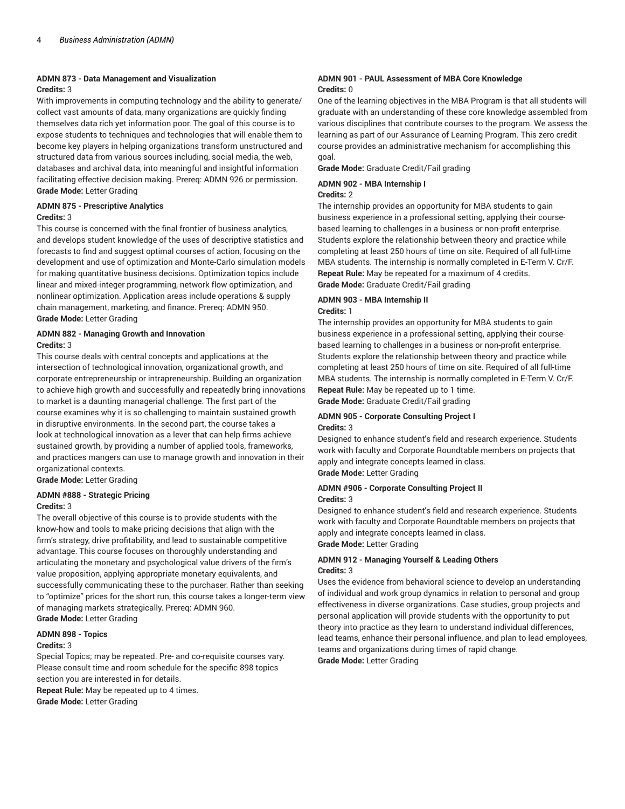### **ADMN 873 - Data Management and Visualization**

### **Credits:** 3

With improvements in computing technology and the ability to generate/ collect vast amounts of data, many organizations are quickly finding themselves data rich yet information poor. The goal of this course is to expose students to techniques and technologies that will enable them to become key players in helping organizations transform unstructured and structured data from various sources including, social media, the web, databases and archival data, into meaningful and insightful information facilitating effective decision making. Prereq: ADMN 926 or permission. **Grade Mode:** Letter Grading

### **ADMN 875 - Prescriptive Analytics**

### **Credits:** 3

This course is concerned with the final frontier of business analytics, and develops student knowledge of the uses of descriptive statistics and forecasts to find and suggest optimal courses of action, focusing on the development and use of optimization and Monte-Carlo simulation models for making quantitative business decisions. Optimization topics include linear and mixed-integer programming, network flow optimization, and nonlinear optimization. Application areas include operations & supply chain management, marketing, and finance. Prereq: ADMN 950. **Grade Mode:** Letter Grading

### **ADMN 882 - Managing Growth and Innovation Credits:** 3

This course deals with central concepts and applications at the intersection of technological innovation, organizational growth, and corporate entrepreneurship or intrapreneurship. Building an organization to achieve high growth and successfully and repeatedly bring innovations to market is a daunting managerial challenge. The first part of the course examines why it is so challenging to maintain sustained growth in disruptive environments. In the second part, the course takes a look at technological innovation as a lever that can help firms achieve sustained growth, by providing a number of applied tools, frameworks, and practices mangers can use to manage growth and innovation in their organizational contexts.

**Grade Mode:** Letter Grading

### **ADMN #888 - Strategic Pricing**

### **Credits:** 3

The overall objective of this course is to provide students with the know-how and tools to make pricing decisions that align with the firm's strategy, drive profitability, and lead to sustainable competitive advantage. This course focuses on thoroughly understanding and articulating the monetary and psychological value drivers of the firm's value proposition, applying appropriate monetary equivalents, and successfully communicating these to the purchaser. Rather than seeking to "optimize" prices for the short run, this course takes a longer-term view of managing markets strategically. Prereq: ADMN 960. **Grade Mode:** Letter Grading

### **ADMN 898 - Topics**

### **Credits:** 3

Special Topics; may be repeated. Pre- and co-requisite courses vary. Please consult time and room schedule for the specific 898 topics section you are interested in for details.

**Repeat Rule:** May be repeated up to 4 times. **Grade Mode:** Letter Grading

### **ADMN 901 - PAUL Assessment of MBA Core Knowledge Credits:** 0

One of the learning objectives in the MBA Program is that all students will graduate with an understanding of these core knowledge assembled from various disciplines that contribute courses to the program. We assess the learning as part of our Assurance of Learning Program. This zero credit course provides an administrative mechanism for accomplishing this goal.

**Grade Mode:** Graduate Credit/Fail grading

### **ADMN 902 - MBA Internship I**

### **Credits:** 2

The internship provides an opportunity for MBA students to gain business experience in a professional setting, applying their coursebased learning to challenges in a business or non-profit enterprise. Students explore the relationship between theory and practice while completing at least 250 hours of time on site. Required of all full-time MBA students. The internship is normally completed in E-Term V. Cr/F. **Repeat Rule:** May be repeated for a maximum of 4 credits. **Grade Mode:** Graduate Credit/Fail grading

### **ADMN 903 - MBA Internship II Credits:** 1

The internship provides an opportunity for MBA students to gain business experience in a professional setting, applying their coursebased learning to challenges in a business or non-profit enterprise. Students explore the relationship between theory and practice while completing at least 250 hours of time on site. Required of all full-time MBA students. The internship is normally completed in E-Term V. Cr/F. **Repeat Rule:** May be repeated up to 1 time.

**Grade Mode:** Graduate Credit/Fail grading

### **ADMN 905 - Corporate Consulting Project I Credits:** 3

Designed to enhance student's field and research experience. Students work with faculty and Corporate Roundtable members on projects that apply and integrate concepts learned in class. **Grade Mode:** Letter Grading

# **ADMN #906 - Corporate Consulting Project II**

### **Credits:** 3

Designed to enhance student's field and research experience. Students work with faculty and Corporate Roundtable members on projects that apply and integrate concepts learned in class. **Grade Mode:** Letter Grading

### **ADMN 912 - Managing Yourself & Leading Others Credits:** 3

Uses the evidence from behavioral science to develop an understanding of individual and work group dynamics in relation to personal and group effectiveness in diverse organizations. Case studies, group projects and personal application will provide students with the opportunity to put theory into practice as they learn to understand individual differences, lead teams, enhance their personal influence, and plan to lead employees, teams and organizations during times of rapid change. **Grade Mode:** Letter Grading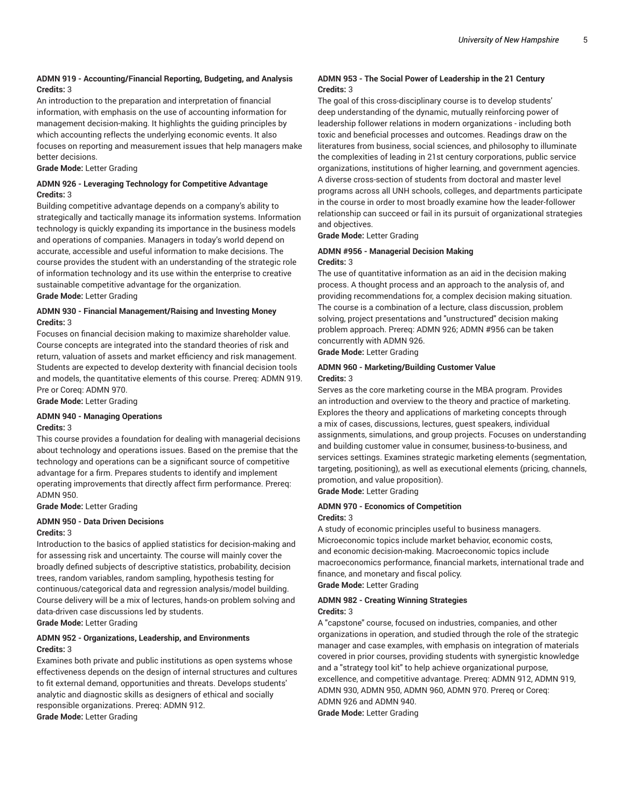### **ADMN 919 - Accounting/Financial Reporting, Budgeting, and Analysis Credits:** 3

An introduction to the preparation and interpretation of financial information, with emphasis on the use of accounting information for management decision-making. It highlights the guiding principles by which accounting reflects the underlying economic events. It also focuses on reporting and measurement issues that help managers make better decisions.

**Grade Mode:** Letter Grading

### **ADMN 926 - Leveraging Technology for Competitive Advantage Credits:** 3

Building competitive advantage depends on a company's ability to strategically and tactically manage its information systems. Information technology is quickly expanding its importance in the business models and operations of companies. Managers in today's world depend on accurate, accessible and useful information to make decisions. The course provides the student with an understanding of the strategic role of information technology and its use within the enterprise to creative sustainable competitive advantage for the organization.

**Grade Mode:** Letter Grading

### **ADMN 930 - Financial Management/Raising and Investing Money Credits:** 3

Focuses on financial decision making to maximize shareholder value. Course concepts are integrated into the standard theories of risk and return, valuation of assets and market efficiency and risk management. Students are expected to develop dexterity with financial decision tools and models, the quantitative elements of this course. Prereq: ADMN 919. Pre or Coreq: ADMN 970.

**Grade Mode:** Letter Grading

### **ADMN 940 - Managing Operations Credits:** 3

This course provides a foundation for dealing with managerial decisions about technology and operations issues. Based on the premise that the technology and operations can be a significant source of competitive advantage for a firm. Prepares students to identify and implement operating improvements that directly affect firm performance. Prereq: ADMN 950.

**Grade Mode:** Letter Grading

### **ADMN 950 - Data Driven Decisions Credits:** 3

Introduction to the basics of applied statistics for decision-making and for assessing risk and uncertainty. The course will mainly cover the broadly defined subjects of descriptive statistics, probability, decision trees, random variables, random sampling, hypothesis testing for continuous/categorical data and regression analysis/model building. Course delivery will be a mix of lectures, hands-on problem solving and data-driven case discussions led by students.

**Grade Mode:** Letter Grading

### **ADMN 952 - Organizations, Leadership, and Environments Credits:** 3

Examines both private and public institutions as open systems whose effectiveness depends on the design of internal structures and cultures to fit external demand, opportunities and threats. Develops students' analytic and diagnostic skills as designers of ethical and socially responsible organizations. Prereq: ADMN 912. **Grade Mode:** Letter Grading

### **ADMN 953 - The Social Power of Leadership in the 21 Century Credits:** 3

The goal of this cross-disciplinary course is to develop students' deep understanding of the dynamic, mutually reinforcing power of leadership follower relations in modern organizations - including both toxic and beneficial processes and outcomes. Readings draw on the literatures from business, social sciences, and philosophy to illuminate the complexities of leading in 21st century corporations, public service organizations, institutions of higher learning, and government agencies. A diverse cross-section of students from doctoral and master level programs across all UNH schools, colleges, and departments participate in the course in order to most broadly examine how the leader-follower relationship can succeed or fail in its pursuit of organizational strategies and objectives.

**Grade Mode:** Letter Grading

### **ADMN #956 - Managerial Decision Making Credits:** 3

The use of quantitative information as an aid in the decision making process. A thought process and an approach to the analysis of, and providing recommendations for, a complex decision making situation. The course is a combination of a lecture, class discussion, problem solving, project presentations and "unstructured" decision making problem approach. Prereq: ADMN 926; ADMN #956 can be taken concurrently with ADMN 926.

**Grade Mode:** Letter Grading

### **ADMN 960 - Marketing/Building Customer Value Credits:** 3

Serves as the core marketing course in the MBA program. Provides an introduction and overview to the theory and practice of marketing. Explores the theory and applications of marketing concepts through a mix of cases, discussions, lectures, guest speakers, individual assignments, simulations, and group projects. Focuses on understanding and building customer value in consumer, business-to-business, and services settings. Examines strategic marketing elements (segmentation, targeting, positioning), as well as executional elements (pricing, channels, promotion, and value proposition).

**Grade Mode:** Letter Grading

### **ADMN 970 - Economics of Competition**

### **Credits:** 3

A study of economic principles useful to business managers. Microeconomic topics include market behavior, economic costs, and economic decision-making. Macroeconomic topics include macroeconomics performance, financial markets, international trade and finance, and monetary and fiscal policy. **Grade Mode:** Letter Grading

### **ADMN 982 - Creating Winning Strategies Credits:** 3

A "capstone" course, focused on industries, companies, and other organizations in operation, and studied through the role of the strategic manager and case examples, with emphasis on integration of materials covered in prior courses, providing students with synergistic knowledge and a "strategy tool kit" to help achieve organizational purpose, excellence, and competitive advantage. Prereq: ADMN 912, ADMN 919, ADMN 930, ADMN 950, ADMN 960, ADMN 970. Prereq or Coreq: ADMN 926 and ADMN 940. **Grade Mode:** Letter Grading